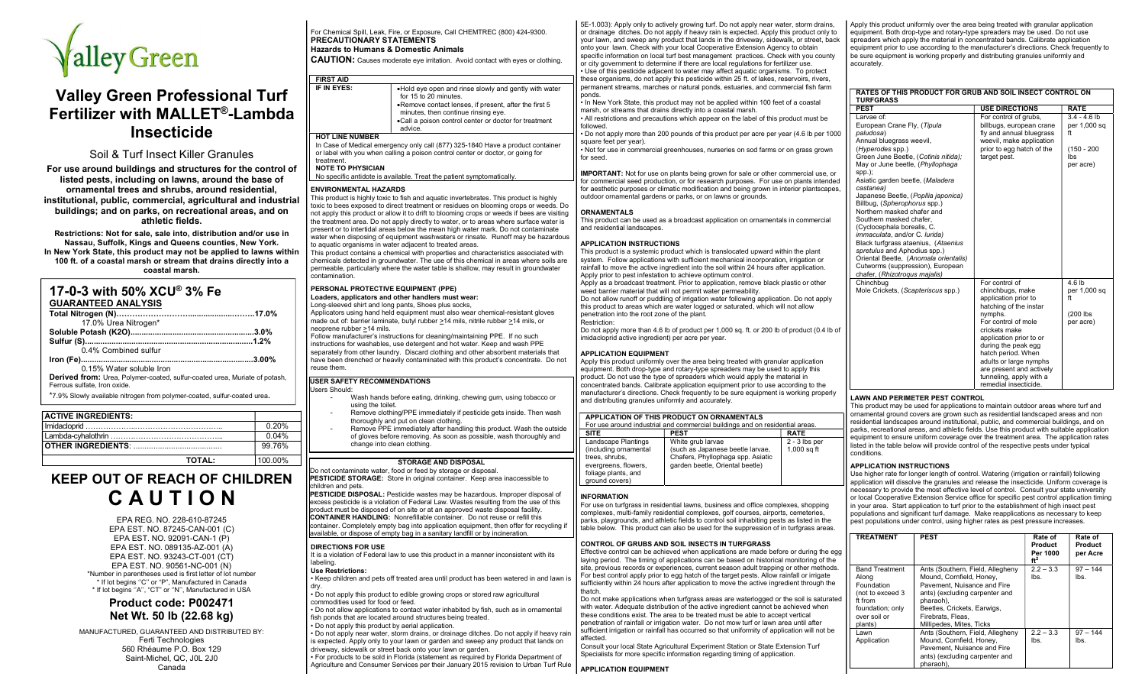

# Valley Green Professional Turf Fertilizer with MALLET® -Lambda Insecticide

# Soil & Turf Insect Killer Granules

For use around buildings and structures for the control of listed pests, including on lawns, around the base of ornamental trees and shrubs, around residential, institutional, public, commercial, agricultural and industrial buildings; and on parks, on recreational areas, and on athletic fields.

Restrictions: Not for sale, sale into, distribution and/or use in Nassau, Suffolk, Kings and Queens counties, New York. In New York State, this product may not be applied to lawns within 100 ft. of a coastal marsh or stream that drains directly into a coastal marsh.

| 17-0-3 with 50% XCU® 3% Fe                                                                                        |        |
|-------------------------------------------------------------------------------------------------------------------|--------|
| <b>GUARANTEED ANALYSIS</b>                                                                                        |        |
|                                                                                                                   |        |
| 17.0% Urea Nitrogen*                                                                                              |        |
|                                                                                                                   |        |
|                                                                                                                   |        |
| 0.4% Combined sulfur                                                                                              |        |
|                                                                                                                   | .3.00% |
| 0.15% Water soluble Iron                                                                                          |        |
| <b>Derived from:</b> Urea, Polymer-coated, sulfur-coated urea, Muriate of potash,<br>Ferrous sulfate. Iron oxide. |        |
| *7.9% Slowly available nitrogen from polymer-coated, sulfur-coated urea.                                          |        |

| <b>ACTIVE INGREDIENTS:</b> |         |
|----------------------------|---------|
|                            | 0.20%   |
|                            | 0.04%   |
|                            | 99 76%  |
| ΤΟΤΑΙ.:                    | 100,00% |

# KEEP OUT OF REACH OF CHILDREN C A U T I O N

EPA REG. NO. 228-610-87245 EPA EST. NO. 87245-CAN-001 (C) EPA EST. NO. 92091-CAN-1 (P) EPA EST. NO. 089135-AZ-001 (A) EPA EST. NO. 93243-CT-001 (CT) EPA EST. NO. 90561-NC-001 (N) \*Number in parentheses used is first letter of lot number \* If lot begins ''C'' or "P", Manufactured in Canada \* If lot begins ''A'', "CT" or ''N'', Manufactured in USA

# Product code: P002471 Net Wt. 50 lb (22.68 kg)

MANUFACTURED, GUARANTEED AND DISTRIBUTED BY: Ferti Technologies 560 Rhéaume P.O. Box 129 Saint-Michel, QC, J0L 2J0 Canada

# For Chemical Spill, Leak, Fire, or Exposure, Call CHEMTREC (800) 424-9300. PRECAUTIONARY STATEMENTS Hazards to Humans & Domestic Animals CAUTION: Causes moderate eye irritation. Avoid contact with eyes or clothing.

| <b>FIRST AID</b>       |                                                                                                                                                                                                                                                    |
|------------------------|----------------------------------------------------------------------------------------------------------------------------------------------------------------------------------------------------------------------------------------------------|
| IF IN EYES:            | •Hold eye open and rinse slowly and gently with water<br>for 15 to 20 minutes.<br>.Remove contact lenses, if present, after the first 5<br>minutes, then continue rinsing eye.<br>.Call a poison control center or doctor for treatment<br>advice. |
| <b>HOT LINE NUMBER</b> |                                                                                                                                                                                                                                                    |

In Case of Medical emergency only call (877) 325-1840 Have a product container or label with you when calling a poison control center or doctor, or going for treatment.

# NOTE TO PHYSICIAN

No specific antidote is available. Treat the patient symptomatically.

#### ENVIRONMENTAL HAZARDS

This product is highly toxic to fish and aquatic invertebrates. This product is highly toxic to bees exposed to direct treatment or residues on blooming crops or weeds. Do not apply this product or allow it to drift to blooming crops or weeds if bees are visiting the treatment area. Do not apply directly to water, or to areas where surface water is present or to intertidal areas below the mean high water mark. Do not contaminate water when disposing of equipment washwaters or rinsate. Runoff may be hazardous to aquatic organisms in water adjacent to treated areas.

This product contains a chemical with properties and characteristics associated with chemicals detected in groundwater. The use of this chemical in areas where soils are permeable, particularly where the water table is shallow, may result in groundwater contamination.

# PERSONAL PROTECTIVE EQUIPMENT (PPE)

Loaders, applicators and other handlers must wear: Long-sleeved shirt and long pants, Shoes plus socks,

### Applicators using hand held equipment must also wear chemical-resistant gloves made out of: barrier laminate, butyl rubber >14 mils, nitrile rubber >14 mils, or

neoprene rubber >14 mils. Follow manufacturer's instructions for cleaning/maintaining PPE. If no such instructions for washables, use detergent and hot water. Keep and wash PPE separately from other laundry. Discard clothing and other absorbent materials that have been drenched or heavily contaminated with this product's concentrate. Do not reuse them.

#### USER SAFETY RECOMMENDATIONS Users Should:

- Wash hands before eating, drinking, chewing gum, using tobacco or using the toilet.
- Remove clothing/PPE immediately if pesticide gets inside. Then wash thoroughly and put on clean clothing.
- Remove PPE immediately after handling this product. Wash the outside of gloves before removing. As soon as possible, wash thoroughly and change into clean clothing.

# STORAGE AND DISPOSAL

Do not contaminate water, food or feed by storage or disposal. PESTICIDE STORAGE: Store in original container. Keep area inaccessible to children and pets.

PESTICIDE DISPOSAL: Pesticide wastes may be hazardous. Improper disposal of excess pesticide is a violation of Federal Law. Wastes resulting from the use of this product must be disposed of on site or at an approved waste disposal facility. CONTAINER HANDLING: Nonrefillable container. Do not reuse or refill this container. Completely empty bag into application equipment, then offer for recycling if available, or dispose of empty bag in a sanitary landfill or by incineration.

#### DIRECTIONS FOR USE

It is a violation of Federal law to use this product in a manner inconsistent with its labeling.

#### Use Restrictions:

• Keep children and pets off treated area until product has been watered in and lawn is dry. • Do not apply this product to edible growing crops or stored raw agricultural

commodities used for food or feed.

• Do not allow applications to contact water inhabited by fish, such as in ornamental fish ponds that are located around structures being treated.

• Do not apply this product by aerial application. • Do not apply near water, storm drains, or drainage ditches. Do not apply if heavy rain

is expected. Apply only to your lawn or garden and sweep any product that lands on driveway, sidewalk or street back onto your lawn or garden. • For products to be sold in Florida (statement as required by Florida Department of

Agriculture and Consumer Services per their January 2015 revision to Urban Turf Rule

5E-1.003): Apply only to actively growing turf. Do not apply near water, storm drains, or drainage ditches. Do not apply if heavy rain is expected. Apply this product only to your lawn, and sweep any product that lands in the driveway, sidewalk, or street, back onto your lawn. Check with your local Cooperative Extension Agency to obtain specific information on local turf best management practices. Check with you county or city government to determine if there are local regulations for fertilizer use.

• Use of this pesticide adjacent to water may affect aquatic organisms. To protect these organisms, do not apply this pesticide within 25 ft. of lakes, reservoirs, rivers, permanent streams, marches or natural ponds, estuaries, and commercial fish farm ponds.

• In New York State, this product may not be applied within 100 feet of a coastal marsh, or streams that drains directly into a coastal marsh.

• All restrictions and precautions which appear on the label of this product must be followed.

• Do not apply more than 200 pounds of this product per acre per year (4.6 lb per 1000 square feet per year).

• Not for use in commercial greenhouses, nurseries on sod farms or on grass grown for seed.

IMPORTANT: Not for use on plants being grown for sale or other commercial use, or for commercial seed production, or for research purposes. For use on plants intended for aesthetic purposes or climatic modification and being grown in interior plantscapes, outdoor ornamental gardens or parks, or on lawns or grounds.

# ORNAMENTALS

This product can be used as a broadcast application on ornamentals in commercial and residential landscapes.

# APPLICATION INSTRUCTIONS

This product is a systemic product which is translocated upward within the plant system. Follow applications with sufficient mechanical incorporation, irrigation or rainfall to move the active ingredient into the soil within 24 hours after application. Apply prior to pest infestation to achieve optimum control. Apply as a broadcast treatment. Prior to application, remove black plastic or other weed barrier material that will not permit water permeability. Do not allow runoff or puddling of irrigation water following application. Do not apply this product to areas which are water logged or saturated, which will not allow penetration into the root zone of the plant. Restriction:

Do not apply more than 4.6 lb of product per 1,000 sq. ft. or 200 lb of product (0.4 lb of imidacloprid active ingredient) per acre per year.

## APPLICATION EQUIPMENT

Apply this product uniformly over the area being treated with granular application equipment. Both drop-type and rotary-type spreaders may be used to apply this product. Do not use the type of spreaders which would apply the material in concentrated bands. Calibrate application equipment prior to use according to the manufacturer's directions. Check frequently to be sure equipment is working properly and distributing granules uniformly and accurately.

| APPLICATION OF THIS PRODUCT ON ORNAMENTALS<br>For use around industrial and commercial buildings and on residential areas.      |                                                                                                                               |                                  |
|---------------------------------------------------------------------------------------------------------------------------------|-------------------------------------------------------------------------------------------------------------------------------|----------------------------------|
| <b>SITE</b>                                                                                                                     | <b>PEST</b>                                                                                                                   | <b>RATE</b>                      |
| Landscape Plantings<br>(including ornamental<br>trees, shrubs.<br>evergreens, flowers,<br>foliage plants, and<br>ground covers) | White grub larvae<br>(such as Japanese beetle larvae,<br>Chafers, Phyllophaga spp. Asiatic<br>garden beetle, Oriental beetle) | $2 - 3$ lbs per<br>$1,000$ sq ft |

## INFORMATION

For use on turfgrass in residential lawns, business and office complexes, shopping complexes, multi-family residential complexes, golf courses, airports, cemeteries, parks, playgrounds, and athletic fields to control soil inhabiting pests as listed in the table below. This product can also be used for the suppression of in turfgrass areas.

# CONTROL OF GRUBS AND SOIL INSECTS IN TURFGRASS

Effective control can be achieved when applications are made before or during the egg laying period. The timing of applications can be based on historical monitoring of the site, previous records or experiences, current season adult trapping or other methods. For best control apply prior to egg hatch of the target pests. Allow rainfall or irrigate sufficiently within 24 hours after application to move the active ingredient through the thatch.

Do not make applications when turfgrass areas are waterlogged or the soil is saturated with water. Adequate distribution of the active ingredient cannot be achieved when these conditions exist. The area to be treated must be able to accept vertical penetration of rainfall or irrigation water. Do not mow turf or lawn area until after sufficient irrigation or rainfall has occurred so that uniformity of application will not be affected.

Consult your local State Agricultural Experiment Station or State Extension Turf Specialists for more specific information regarding timing of application.

## APPLICATION EQUIPMENT

Apply this product uniformly over the area being treated with granular application equipment. Both drop-type and rotary-type spreaders may be used. Do not use spreaders which apply the material in concentrated bands. Calibrate application equipment prior to use according to the manufacturer's directions. Check frequently to be sure equipment is working properly and distributing granules uniformly and accurately.

| RATES OF THIS PRODUCT FOR GRUB AND SOIL INSECT CONTROL ON<br><b>TURFGRASS</b>                                                                                                                                                                                                                                                                                                                                                                                                                                                                                                                                                             |                                                                                                                                                                                                                                                                                                                           |                                                                           |  |  |  |
|-------------------------------------------------------------------------------------------------------------------------------------------------------------------------------------------------------------------------------------------------------------------------------------------------------------------------------------------------------------------------------------------------------------------------------------------------------------------------------------------------------------------------------------------------------------------------------------------------------------------------------------------|---------------------------------------------------------------------------------------------------------------------------------------------------------------------------------------------------------------------------------------------------------------------------------------------------------------------------|---------------------------------------------------------------------------|--|--|--|
| <b>PEST</b>                                                                                                                                                                                                                                                                                                                                                                                                                                                                                                                                                                                                                               | <b>USE DIRECTIONS</b>                                                                                                                                                                                                                                                                                                     | <b>RATE</b>                                                               |  |  |  |
| Larvae of:<br>European Crane Fly, (Tipula<br>paludosa)<br>Annual bluegrass weevil,<br>(Hyperodes spp.)<br>Green June Beetle, (Cotinis nitida);<br>May or June beetle, (Phyllophaga<br>spp.);<br>Asiatic garden beetle, (Maladera<br>castanea)<br>Japanese Beetle, (Popllia japonica)<br>Billbug, (Spherophorus spp.)<br>Northern masked chafer and<br>Southern masked chafer.<br>(Cyclocephala borealis, C.<br><i>immaculata</i> , and/or C. lurida)<br>Black turfgrass ataenius, (Ataenius<br>spretulus and Aphodius spp.)<br>Oriental Beetle, (Anomala orientalis)<br>Cutworms (suppression), European<br>chafer, (Rhizotroqus majalis) | For control of grubs,<br>billbugs, european crane<br>fly and annual bluegrass<br>weevil, make application<br>prior to egg hatch of the<br>target pest.                                                                                                                                                                    | $3.4 - 4.6$ lb<br>per 1,000 sq<br>ft<br>$(150 - 200)$<br>Ibs<br>per acre) |  |  |  |
| Chinchbug<br>Mole Crickets, (Scapteriscus spp.)                                                                                                                                                                                                                                                                                                                                                                                                                                                                                                                                                                                           | For control of<br>chinchbugs, make<br>application prior to<br>hatching of the instar<br>nymphs.<br>For control of mole<br>crickets make<br>application prior to or<br>during the peak egg<br>hatch period. When<br>adults or large nymphs<br>are present and actively<br>tunneling, apply with a<br>remedial insecticide. | 4.6 <sub>lb</sub><br>per 1,000 sq<br>ft<br>$(200$ lbs<br>per acre)        |  |  |  |

# LAWN AND PERIMETER PEST CONTROL

This product may be used for applications to maintain outdoor areas where turf and ornamental ground covers are grown such as residential landscaped areas and non residential landscapes around institutional, public, and commercial buildings, and on parks, recreational areas, and athletic fields. Use this product with suitable application equipment to ensure uniform coverage over the treatment area. The application rates listed in the table below will provide control of the respective pests under typical conditions.

## APPLICATION INSTRUCTIONS

Use higher rate for longer length of control. Watering (irrigation or rainfall) following application will dissolve the granules and release the insecticide. Uniform coverage is necessary to provide the most effective level of control. Consult your state university or local Cooperative Extension Service office for specific pest control application timing in your area. Start application to turf prior to the establishment of high insect pest populations and significant turf damage. Make reapplications as necessary to keep pest populations under control, using higher rates as pest pressure increases.

| <b>TREATMENT</b>                                                                                                           | <b>PEST</b>                                                                                                                                                                                                                | Rate of<br>Product<br>Per 1000<br>$ft^2$ | Rate of<br>Product<br>per Acre |
|----------------------------------------------------------------------------------------------------------------------------|----------------------------------------------------------------------------------------------------------------------------------------------------------------------------------------------------------------------------|------------------------------------------|--------------------------------|
| <b>Band Treatment</b><br>Along<br>Foundation<br>(not to exceed 3<br>ft from<br>foundation; only<br>over soil or<br>plants) | Ants (Southern, Field, Allegheny<br>Mound, Cornfield, Honey,<br>Pavement. Nuisance and Fire<br>ants) (excluding carpenter and<br>pharaoh),<br>Beetles, Crickets, Earwigs,<br>Firebrats, Fleas,<br>Millipedes, Mites, Ticks | $2.2 - 3.3$<br>lbs.                      | $97 - 144$<br>lbs.             |
| Lawn<br>Application                                                                                                        | Ants (Southern, Field, Allegheny<br>Mound, Cornfield, Honey,<br>Pavement. Nuisance and Fire<br>ants) (excluding carpenter and<br>pharaoh).                                                                                 | $2.2 - 3.3$<br>lbs.                      | $97 - 144$<br>lbs.             |